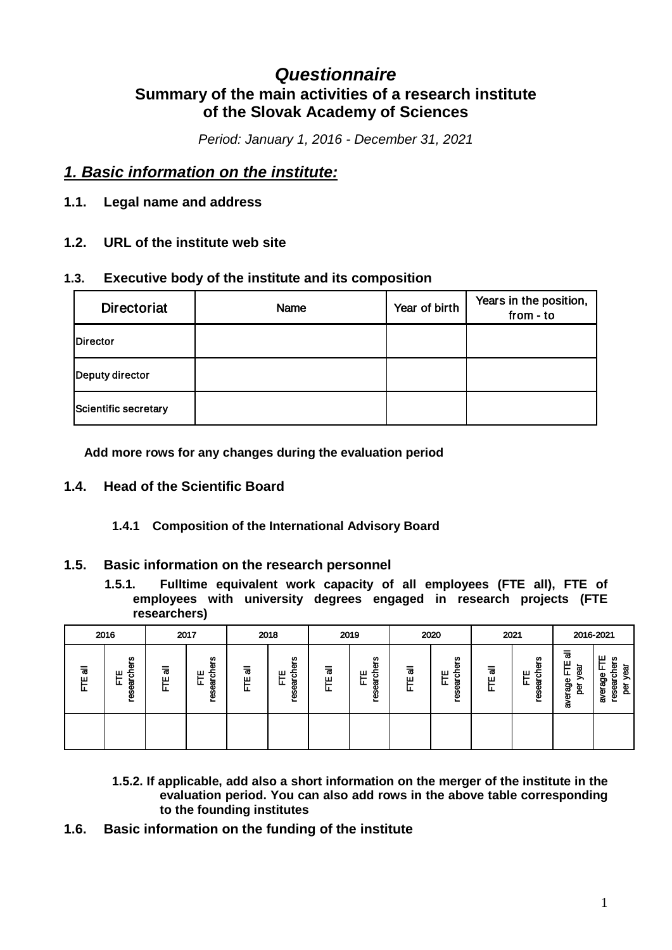# *Questionnaire* **Summary of the main activities of a research institute of the Slovak Academy of Sciences**

*Period: January 1, 2016 - December 31, 2021*

## *1. Basic information on the institute:*

- **1.1. Legal name and address**
- **1.2. URL of the institute web site**

## **1.3. Executive body of the institute and its composition**

| <b>Directoriat</b>   | Name | Year of birth | Years in the position,<br>from - to |
|----------------------|------|---------------|-------------------------------------|
| Director             |      |               |                                     |
| Deputy director      |      |               |                                     |
| Scientific secretary |      |               |                                     |

**Add more rows for any changes during the evaluation period**

### **1.4. Head of the Scientific Board**

### **1.4.1 Composition of the International Advisory Board**

### **1.5. Basic information on the research personnel**

**1.5.1. Fulltime equivalent work capacity of all employees (FTE all), FTE of employees with university degrees engaged in research projects (FTE researchers)**

|         | 2016                      |                | 2017                                   |             | 2018                           |         | 2019                               |         | 2020                         | 2021         |                      |                                              | 2016-2021                                                            |
|---------|---------------------------|----------------|----------------------------------------|-------------|--------------------------------|---------|------------------------------------|---------|------------------------------|--------------|----------------------|----------------------------------------------|----------------------------------------------------------------------|
| ᠊ᢛ<br>Ë | န္မ<br>research<br>ш<br>눈 | $\bar{a}$<br>屵 | ers<br>듕<br>٣<br>ಡ<br>ட<br><b>rese</b> | ш<br>–<br>ட | ers<br><u>ត</u> ់<br>Ë<br>rese | ᠊ᢛ<br>쀼 | ers<br>흉<br>屵<br>ಹ<br><b>reser</b> | ᠊ᢛ<br>屵 | ers<br>훙<br>쁘<br>resear<br>ட | ᠊ᢛ<br>胃<br>ட | ers<br>research<br>Ë | ᇹ<br>ш<br>ಡ<br>Φ<br>∽<br>erage<br>፟፟፟፼<br>ਛੇ | ш<br><b>SD</b><br>됴<br>፪<br>year<br>average<br>researc<br><b>ber</b> |
|         |                           |                |                                        |             |                                |         |                                    |         |                              |              |                      |                                              |                                                                      |

- **1.5.2. If applicable, add also a short information on the merger of the institute in the evaluation period. You can also add rows in the above table corresponding to the founding institutes**
- **1.6. Basic information on the funding of the institute**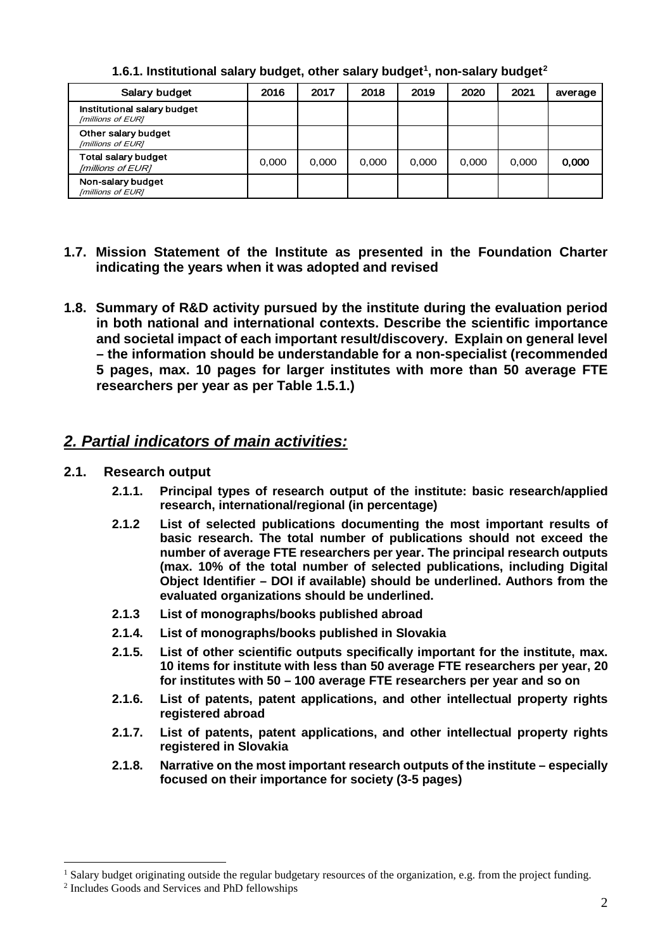| Salary budget                                    | 2016  | 2017  | 2018  | 2019  | 2020  | 2021  | average |
|--------------------------------------------------|-------|-------|-------|-------|-------|-------|---------|
| Institutional salary budget<br>[millions of EUR] |       |       |       |       |       |       |         |
| Other salary budget<br>[millions of EUR]         |       |       |       |       |       |       |         |
| <b>Total salary budget</b><br>[millions of EUR]  | 0.000 | 0.000 | 0.000 | 0.000 | 0.000 | 0.000 | 0.000   |
| Non-salary budget<br>[millions of EUR]           |       |       |       |       |       |       |         |

**1.6.1. Institutional salary budget, other salary budget[1](#page-1-0) , non-salary budget[2](#page-1-1)**

- **1.7. Mission Statement of the Institute as presented in the Foundation Charter indicating the years when it was adopted and revised**
- **1.8. Summary of R&D activity pursued by the institute during the evaluation period in both national and international contexts. Describe the scientific importance and societal impact of each important result/discovery. Explain on general level – the information should be understandable for a non-specialist (recommended 5 pages, max. 10 pages for larger institutes with more than 50 average FTE researchers per year as per Table 1.5.1.)**

## *2. Partial indicators of main activities:*

- **2.1. Research output**
	- **2.1.1. Principal types of research output of the institute: basic research/applied research, international/regional (in percentage)**
	- **2.1.2 List of selected publications documenting the most important results of basic research. The total number of publications should not exceed the number of average FTE researchers per year. The principal research outputs (max. 10% of the total number of selected publications, including Digital Object Identifier – DOI if available) should be underlined. Authors from the evaluated organizations should be underlined.**
	- **2.1.3 List of monographs/books published abroad**
	- **2.1.4. List of monographs/books published in Slovakia**
	- **2.1.5. List of other scientific outputs specifically important for the institute, max. 10 items for institute with less than 50 average FTE researchers per year, 20 for institutes with 50 – 100 average FTE researchers per year and so on**
	- **2.1.6. List of patents, patent applications, and other intellectual property rights registered abroad**
	- **2.1.7. List of patents, patent applications, and other intellectual property rights registered in Slovakia**
	- **2.1.8. Narrative on the most important research outputs of the institute – especially focused on their importance for society (3-5 pages)**

<span id="page-1-0"></span><sup>&</sup>lt;sup>1</sup> Salary budget originating outside the regular budgetary resources of the organization, e.g. from the project funding.

<span id="page-1-1"></span><sup>2</sup> Includes Goods and Services and PhD fellowships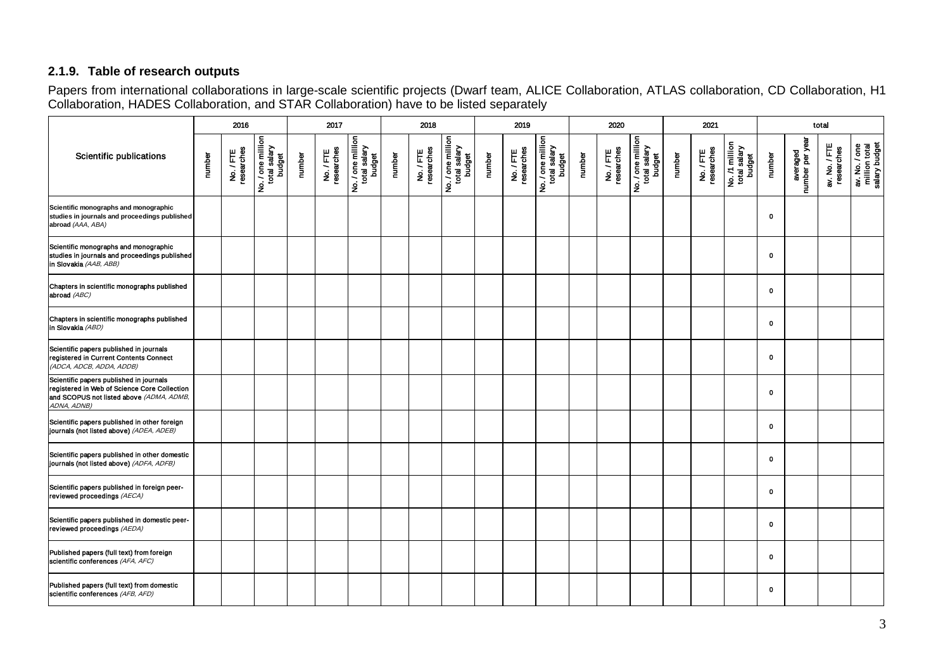### **2.1.9. Table of research outputs**

Papers from international collaborations in large-scale scientific projects (Dwarf team, ALICE Collaboration, ATLAS collaboration, CD Collaboration, H1 Collaboration, HADES Collaboration, and STAR Collaboration) have to be listed separately

|                                                                                                                                                    |        | 2016                  |                                             |        | 2017                  |                                             |        | 2018                  |                                             |        | 2019                  |                                             |        | 2020                  |                                             |        | 2021                  |                                          |              |                             | total                       |                                                 |
|----------------------------------------------------------------------------------------------------------------------------------------------------|--------|-----------------------|---------------------------------------------|--------|-----------------------|---------------------------------------------|--------|-----------------------|---------------------------------------------|--------|-----------------------|---------------------------------------------|--------|-----------------------|---------------------------------------------|--------|-----------------------|------------------------------------------|--------------|-----------------------------|-----------------------------|-------------------------------------------------|
| <b>Scientific publications</b>                                                                                                                     | number | No./FTE<br>researches | No. / one million<br>total salary<br>budget | number | No./FTE<br>researches | No. / one million<br>total salary<br>budget | number | No./FTE<br>researches | No. / one million<br>total salary<br>budget | number | No./FTE<br>researches | No. / one million<br>total salary<br>budget | number | No./FTE<br>researches | No. / one million<br>total salary<br>budget | number | No./FTE<br>researches | No. /1 million<br>total salary<br>budget | number       | averaged<br>number per year | av. No. / FTE<br>researches | av. No. / one<br>million total<br>salary budget |
| Scientific monographs and monographic<br>studies in journals and proceedings published<br>abroad (AAA, ABA)                                        |        |                       |                                             |        |                       |                                             |        |                       |                                             |        |                       |                                             |        |                       |                                             |        |                       |                                          | $\mathbf 0$  |                             |                             |                                                 |
| Scientific monographs and monographic<br>studies in journals and proceedings published<br>in Slovakia (AAB, ABB)                                   |        |                       |                                             |        |                       |                                             |        |                       |                                             |        |                       |                                             |        |                       |                                             |        |                       |                                          | $\mathbf 0$  |                             |                             |                                                 |
| Chapters in scientific monographs published<br>abroad (ABC)                                                                                        |        |                       |                                             |        |                       |                                             |        |                       |                                             |        |                       |                                             |        |                       |                                             |        |                       |                                          | $\mathbf 0$  |                             |                             |                                                 |
| Chapters in scientific monographs published<br>in Slovakia (ABD)                                                                                   |        |                       |                                             |        |                       |                                             |        |                       |                                             |        |                       |                                             |        |                       |                                             |        |                       |                                          | $\mathbf 0$  |                             |                             |                                                 |
| Scientific papers published in journals<br>registered in Current Contents Connect<br>(ADCA, ADCB, ADDA, ADDB)                                      |        |                       |                                             |        |                       |                                             |        |                       |                                             |        |                       |                                             |        |                       |                                             |        |                       |                                          | $\mathbf 0$  |                             |                             |                                                 |
| Scientific papers published in journals<br>registered in Web of Science Core Collection<br>and SCOPUS not listed above (ADMA, ADMB,<br>ADNA, ADNB) |        |                       |                                             |        |                       |                                             |        |                       |                                             |        |                       |                                             |        |                       |                                             |        |                       |                                          | 0            |                             |                             |                                                 |
| Scientific papers published in other foreign<br>journals (not listed above) (ADEA, ADEB)                                                           |        |                       |                                             |        |                       |                                             |        |                       |                                             |        |                       |                                             |        |                       |                                             |        |                       |                                          | $\mathbf 0$  |                             |                             |                                                 |
| Scientific papers published in other domestic<br>journals (not listed above) (ADFA, ADFB)                                                          |        |                       |                                             |        |                       |                                             |        |                       |                                             |        |                       |                                             |        |                       |                                             |        |                       |                                          | $\mathbf{o}$ |                             |                             |                                                 |
| Scientific papers published in foreign peer-<br>reviewed proceedings (AECA)                                                                        |        |                       |                                             |        |                       |                                             |        |                       |                                             |        |                       |                                             |        |                       |                                             |        |                       |                                          | $\mathbf 0$  |                             |                             |                                                 |
| Scientific papers published in domestic peer-<br>reviewed proceedings (AEDA)                                                                       |        |                       |                                             |        |                       |                                             |        |                       |                                             |        |                       |                                             |        |                       |                                             |        |                       |                                          | 0            |                             |                             |                                                 |
| Published papers (full text) from foreign<br>scientific conferences (AFA, AFC)                                                                     |        |                       |                                             |        |                       |                                             |        |                       |                                             |        |                       |                                             |        |                       |                                             |        |                       |                                          | $\mathbf 0$  |                             |                             |                                                 |
| Published papers (full text) from domestic<br>scientific conferences (AFB, AFD)                                                                    |        |                       |                                             |        |                       |                                             |        |                       |                                             |        |                       |                                             |        |                       |                                             |        |                       |                                          | $\mathbf 0$  |                             |                             |                                                 |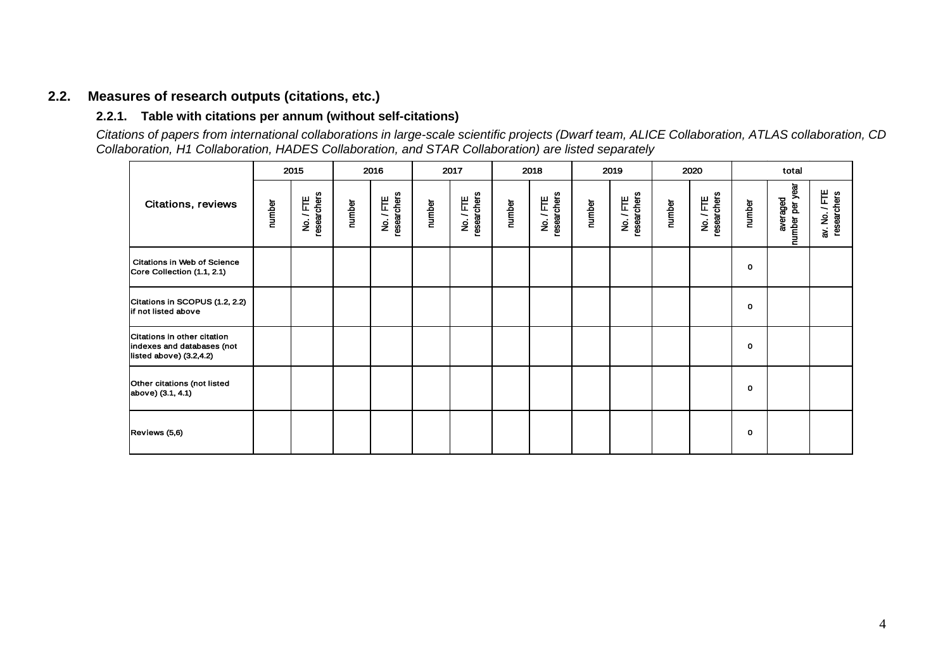## **2.2. Measures of research outputs (citations, etc.)**

#### **2.2.1. Table with citations per annum (without self-citations)**

*Citations of papers from international collaborations in large-scale scientific projects (Dwarf team, ALICE Collaboration, ATLAS collaboration, CD Collaboration, H1 Collaboration, HADES Collaboration, and STAR Collaboration) are listed separately*

|                                                                                      |        | 2015                   |        | 2016                   |        | 2017                   |        | 2018                   |        | 2019                   |        | 2020                   |        | total                       |                              |
|--------------------------------------------------------------------------------------|--------|------------------------|--------|------------------------|--------|------------------------|--------|------------------------|--------|------------------------|--------|------------------------|--------|-----------------------------|------------------------------|
| <b>Citations, reviews</b>                                                            | number | No./FTE<br>researchers | number | No./FTE<br>researchers | number | No./FTE<br>researchers | number | researchers<br>No./FTE | number | No./FTE<br>researchers | number | No./FTE<br>researchers | number | number per year<br>averaged | av. No. / FTE<br>researchers |
| <b>Citations in Web of Science</b><br>Core Collection (1.1, 2.1)                     |        |                        |        |                        |        |                        |        |                        |        |                        |        |                        | о      |                             |                              |
| Citations in SCOPUS (1.2, 2.2)<br>if not listed above                                |        |                        |        |                        |        |                        |        |                        |        |                        |        |                        | o      |                             |                              |
| Citations in other citation<br>indexes and databases (not<br>listed above) (3.2,4.2) |        |                        |        |                        |        |                        |        |                        |        |                        |        |                        | O      |                             |                              |
| Other citations (not listed<br>above) (3.1, 4.1)                                     |        |                        |        |                        |        |                        |        |                        |        |                        |        |                        | 0      |                             |                              |
| Reviews (5,6)                                                                        |        |                        |        |                        |        |                        |        |                        |        |                        |        |                        | 0      |                             |                              |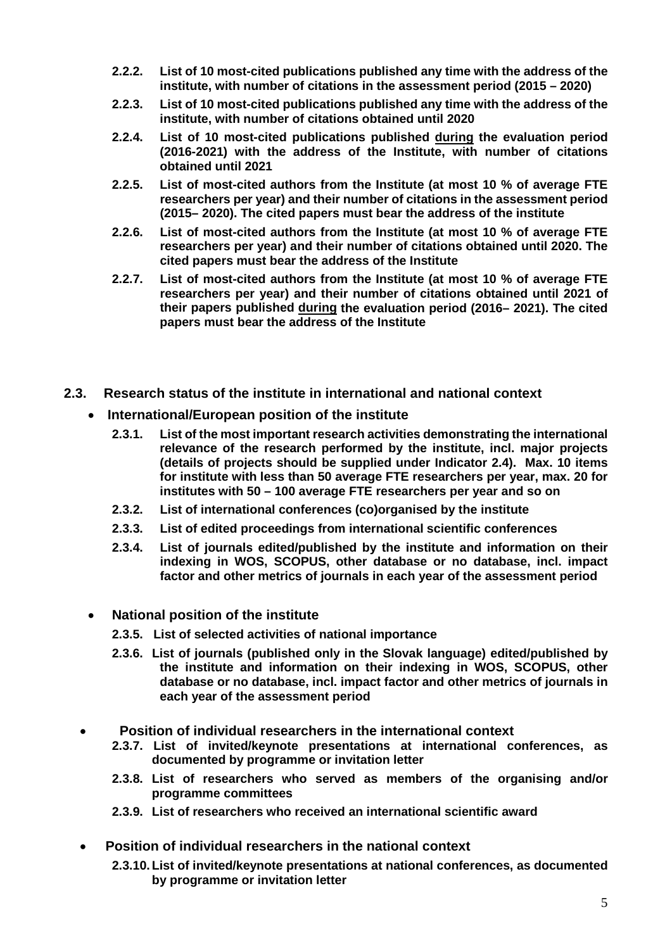- **2.2.2. List of 10 most-cited publications published any time with the address of the institute, with number of citations in the assessment period (2015 – 2020)**
- **2.2.3. List of 10 most-cited publications published any time with the address of the institute, with number of citations obtained until 2020**
- **2.2.4. List of 10 most-cited publications published during the evaluation period (2016-2021) with the address of the Institute, with number of citations obtained until 2021**
- **2.2.5. List of most-cited authors from the Institute (at most 10 % of average FTE researchers per year) and their number of citations in the assessment period (2015– 2020). The cited papers must bear the address of the institute**
- **2.2.6. List of most-cited authors from the Institute (at most 10 % of average FTE researchers per year) and their number of citations obtained until 2020. The cited papers must bear the address of the Institute**
- **2.2.7. List of most-cited authors from the Institute (at most 10 % of average FTE researchers per year) and their number of citations obtained until 2021 of their papers published during the evaluation period (2016– 2021). The cited papers must bear the address of the Institute**
- **2.3. Research status of the institute in international and national context**
	- **International/European position of the institute**
		- **2.3.1. List of the most important research activities demonstrating the international relevance of the research performed by the institute, incl. major projects (details of projects should be supplied under Indicator 2.4). Max. 10 items for institute with less than 50 average FTE researchers per year, max. 20 for institutes with 50 – 100 average FTE researchers per year and so on**
		- **2.3.2. List of international conferences (co)organised by the institute**
		- **2.3.3. List of edited proceedings from international scientific conferences**
		- **2.3.4. List of journals edited/published by the institute and information on their indexing in WOS, SCOPUS, other database or no database, incl. impact factor and other metrics of journals in each year of the assessment period**
	- **National position of the institute**
		- **2.3.5. List of selected activities of national importance**
		- **2.3.6. List of journals (published only in the Slovak language) edited/published by the institute and information on their indexing in WOS, SCOPUS, other database or no database, incl. impact factor and other metrics of journals in each year of the assessment period**
	- • **Position of individual researchers in the international context**
		- **2.3.7. List of invited/keynote presentations at international conferences, as documented by programme or invitation letter**
		- **2.3.8. List of researchers who served as members of the organising and/or programme committees**
		- **2.3.9. List of researchers who received an international scientific award**
	- **Position of individual researchers in the national context**
		- **2.3.10. List of invited/keynote presentations at national conferences, as documented by programme or invitation letter**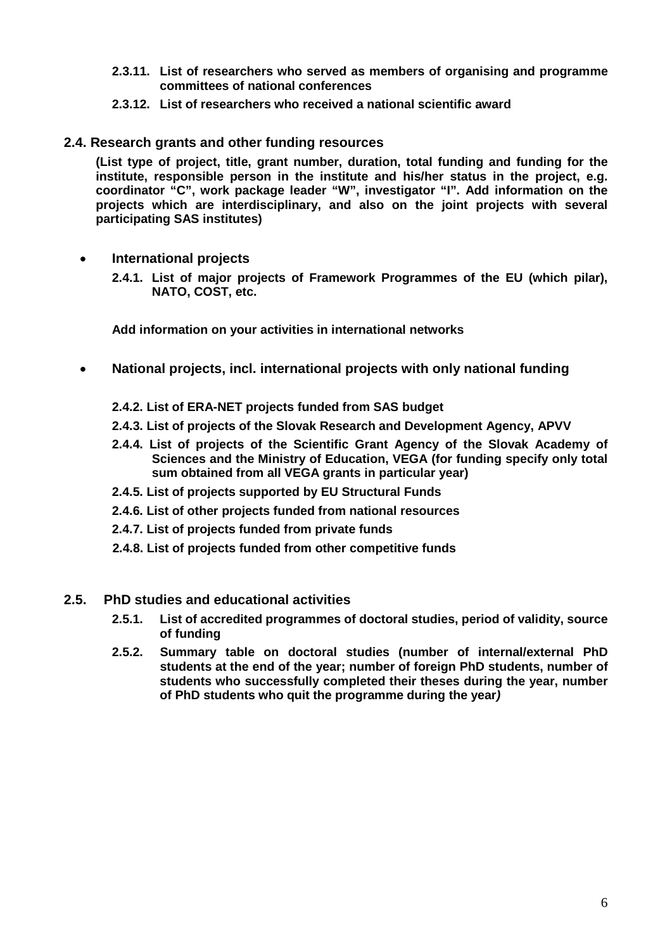- **2.3.11. List of researchers who served as members of organising and programme committees of national conferences**
- **2.3.12. List of researchers who received a national scientific award**
- **2.4. Research grants and other funding resources**

**(List type of project, title, grant number, duration, total funding and funding for the institute, responsible person in the institute and his/her status in the project, e.g. coordinator "C", work package leader "W", investigator "I". Add information on the projects which are interdisciplinary, and also on the joint projects with several participating SAS institutes)**

• **International projects**

**2.4.1. List of major projects of Framework Programmes of the EU (which pilar), NATO, COST, etc.**

**Add information on your activities in international networks**

- **National projects, incl. international projects with only national funding**
	- **2.4.2. List of ERA-NET projects funded from SAS budget**
	- **2.4.3. List of projects of the Slovak Research and Development Agency, APVV**
	- **2.4.4. List of projects of the Scientific Grant Agency of the Slovak Academy of Sciences and the Ministry of Education, VEGA (for funding specify only total sum obtained from all VEGA grants in particular year)**
	- **2.4.5. List of projects supported by EU Structural Funds**
	- **2.4.6. List of other projects funded from national resources**
	- **2.4.7. List of projects funded from private funds**
	- **2.4.8. List of projects funded from other competitive funds**
- **2.5. PhD studies and educational activities**
	- **2.5.1. List of accredited programmes of doctoral studies, period of validity, source of funding**
	- **2.5.2. Summary table on doctoral studies (number of internal/external PhD students at the end of the year; number of foreign PhD students, number of students who successfully completed their theses during the year, number of PhD students who quit the programme during the year***)*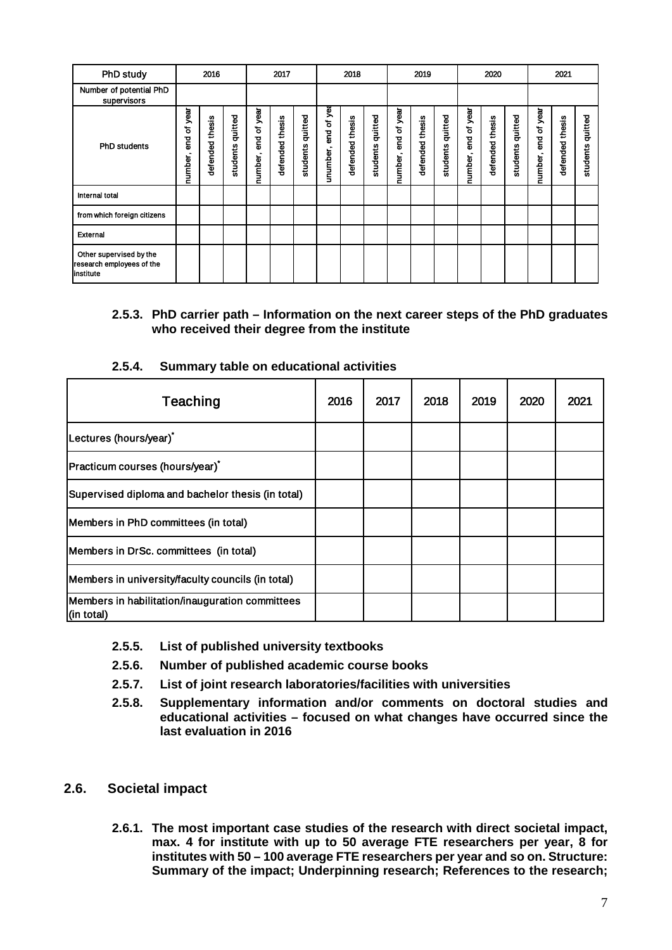| <b>PhD study</b>                                                  |                           | 2016               |                     |                        | 2017               |                     |                        | 2018               |                     |                     | 2019               |                     |                        | 2020               |                     |                     | 2021               |                     |
|-------------------------------------------------------------------|---------------------------|--------------------|---------------------|------------------------|--------------------|---------------------|------------------------|--------------------|---------------------|---------------------|--------------------|---------------------|------------------------|--------------------|---------------------|---------------------|--------------------|---------------------|
| Number of potential PhD<br>supervisors                            |                           |                    |                     |                        |                    |                     |                        |                    |                     |                     |                    |                     |                        |                    |                     |                     |                    |                     |
| <b>PhD students</b>                                               | year<br>end of<br>number, | thesis<br>defended | quitted<br>students | end of year<br>number, | thesis<br>defended | quitted<br>students | end of yea<br>unumber, | thesis<br>defended | quitted<br>students | number, end of year | thesis<br>defended | quitted<br>students | end of year<br>number, | thesis<br>defended | quitted<br>students | number, end of year | thesis<br>defended | quitted<br>students |
| Internal total                                                    |                           |                    |                     |                        |                    |                     |                        |                    |                     |                     |                    |                     |                        |                    |                     |                     |                    |                     |
| from which foreign citizens                                       |                           |                    |                     |                        |                    |                     |                        |                    |                     |                     |                    |                     |                        |                    |                     |                     |                    |                     |
| External                                                          |                           |                    |                     |                        |                    |                     |                        |                    |                     |                     |                    |                     |                        |                    |                     |                     |                    |                     |
| Other supervised by the<br>research employees of the<br>institute |                           |                    |                     |                        |                    |                     |                        |                    |                     |                     |                    |                     |                        |                    |                     |                     |                    |                     |

#### **2.5.3. PhD carrier path – Information on the next career steps of the PhD graduates who received their degree from the institute**

#### **2.5.4. Summary table on educational activities**

| Teaching                                                      | 2016 | 2017 | 2018 | 2019 | 2020 | 2021 |
|---------------------------------------------------------------|------|------|------|------|------|------|
| Lectures (hours/year) <sup>*</sup>                            |      |      |      |      |      |      |
| Practicum courses (hours/year)                                |      |      |      |      |      |      |
| Supervised diploma and bachelor thesis (in total)             |      |      |      |      |      |      |
| Members in PhD committees (in total)                          |      |      |      |      |      |      |
| Members in DrSc. committees (in total)                        |      |      |      |      |      |      |
| Members in university/faculty councils (in total)             |      |      |      |      |      |      |
| Members in habilitation/inauguration committees<br>(in total) |      |      |      |      |      |      |

- **2.5.5. List of published university textbooks**
- **2.5.6. Number of published academic course books**
- **2.5.7. List of joint research laboratories/facilities with universities**
- **2.5.8. Supplementary information and/or comments on doctoral studies and educational activities – focused on what changes have occurred since the last evaluation in 2016**

### **2.6. Societal impact**

**2.6.1. The most important case studies of the research with direct societal impact, max. 4 for institute with up to 50 average FTE researchers per year, 8 for institutes with 50 – 100 average FTE researchers per year and so on. Structure: Summary of the impact; Underpinning research; References to the research;**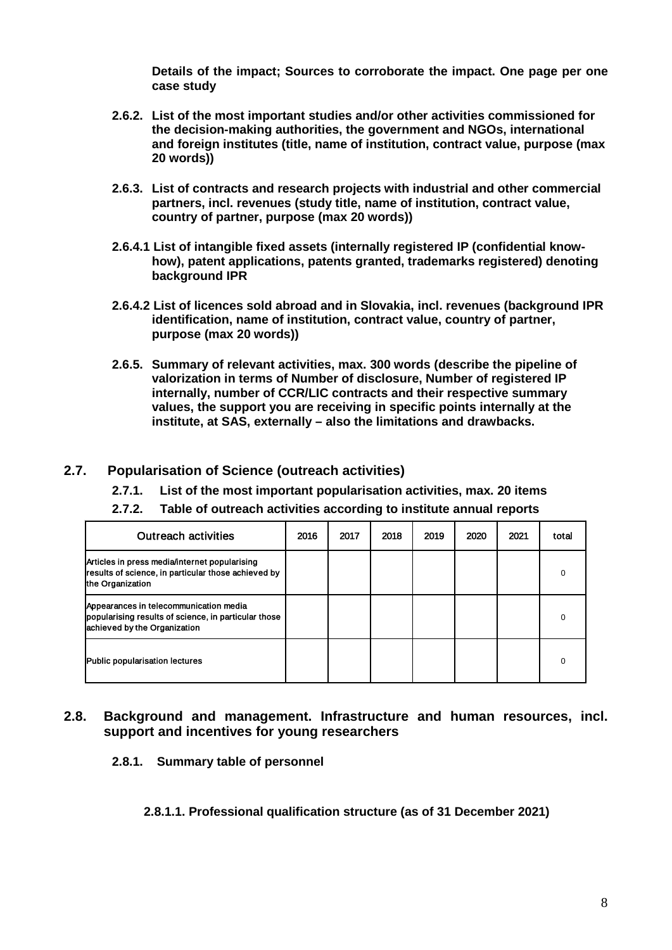**Details of the impact; Sources to corroborate the impact. One page per one case study**

- **2.6.2. List of the most important studies and/or other activities commissioned for the decision-making authorities, the government and NGOs, international and foreign institutes (title, name of institution, contract value, purpose (max 20 words))**
- **2.6.3. List of contracts and research projects with industrial and other commercial partners, incl. revenues (study title, name of institution, contract value, country of partner, purpose (max 20 words))**
- **2.6.4.1 List of intangible fixed assets (internally registered IP (confidential knowhow), patent applications, patents granted, trademarks registered) denoting background IPR**
- **2.6.4.2 List of licences sold abroad and in Slovakia, incl. revenues (background IPR identification, name of institution, contract value, country of partner, purpose (max 20 words))**
- **2.6.5. Summary of relevant activities, max. 300 words (describe the pipeline of valorization in terms of Number of disclosure, Number of registered IP internally, number of CCR/LIC contracts and their respective summary values, the support you are receiving in specific points internally at the institute, at SAS, externally – also the limitations and drawbacks.**

#### **2.7. Popularisation of Science (outreach activities)**

- **2.7.1. List of the most important popularisation activities, max. 20 items**
- **2.7.2. Table of outreach activities according to institute annual reports**

| <b>Outreach activities</b>                                                                                                     | 2016 | 2017 | 2018 | 2019 | 2020 | 2021 | total    |
|--------------------------------------------------------------------------------------------------------------------------------|------|------|------|------|------|------|----------|
| Articles in press media/internet popularising<br>results of science, in particular those achieved by<br>the Organization       |      |      |      |      |      |      |          |
| Appearances in telecommunication media<br>popularising results of science, in particular those<br>achieved by the Organization |      |      |      |      |      |      | ∩        |
| Public popularisation lectures                                                                                                 |      |      |      |      |      |      | $\Omega$ |

#### **2.8. Background and management. Infrastructure and human resources, incl. support and incentives for young researchers**

**2.8.1. Summary table of personnel**

#### **2.8.1.1. Professional qualification structure (as of 31 December 2021)**